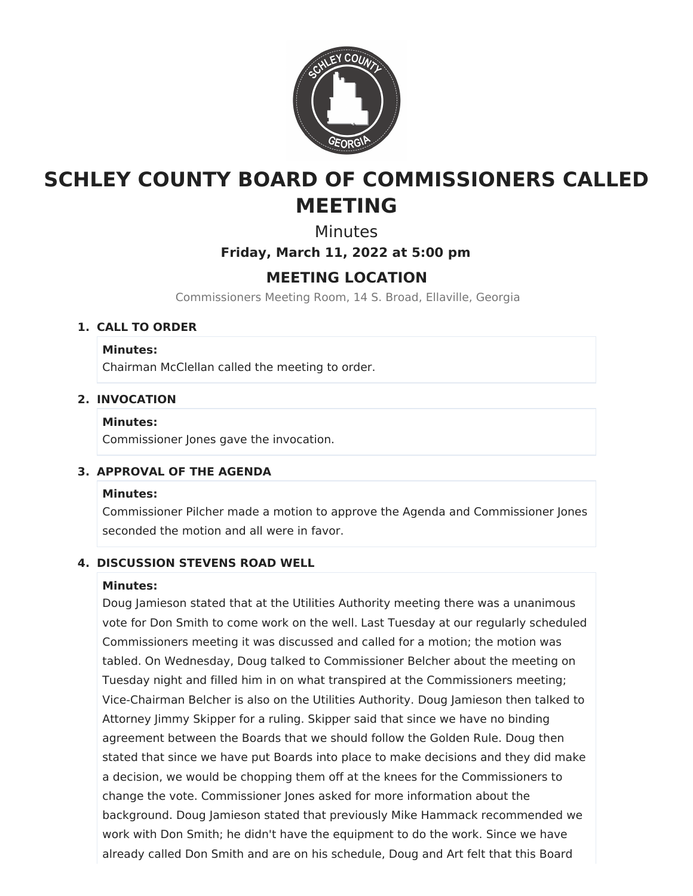

# **SCHLEY COUNTY BOARD OF COMMISSIONERS CALLED MEETING**

**Minutes** 

**Friday, March 11, 2022 at 5:00 pm**

# **MEETING LOCATION**

Commissioners Meeting Room, 14 S. Broad, Ellaville, Georgia

# **1. CALL TO ORDER**

#### **Minutes:**

Chairman McClellan called the meeting to order.

# **2. INVOCATION**

#### **Minutes:**

Commissioner Jones gave the invocation.

# **3. APPROVAL OF THE AGENDA**

#### **Minutes:**

Commissioner Pilcher made a motion to approve the Agenda and Commissioner Jones seconded the motion and all were in favor.

# **4. DISCUSSION STEVENS ROAD WELL**

#### **Minutes:**

Doug Jamieson stated that at the Utilities Authority meeting there was a unanimous vote for Don Smith to come work on the well. Last Tuesday at our regularly scheduled Commissioners meeting it was discussed and called for a motion; the motion was tabled. On Wednesday, Doug talked to Commissioner Belcher about the meeting on Tuesday night and filled him in on what transpired at the Commissioners meeting; Vice-Chairman Belcher is also on the Utilities Authority. Doug Jamieson then talked to Attorney Jimmy Skipper for a ruling. Skipper said that since we have no binding agreement between the Boards that we should follow the Golden Rule. Doug then stated that since we have put Boards into place to make decisions and they did make a decision, we would be chopping them off at the knees for the Commissioners to change the vote. Commissioner Jones asked for more information about the background. Doug Jamieson stated that previously Mike Hammack recommended we work with Don Smith; he didn't have the equipment to do the work. Since we have already called Don Smith and are on his schedule, Doug and Art felt that this Board